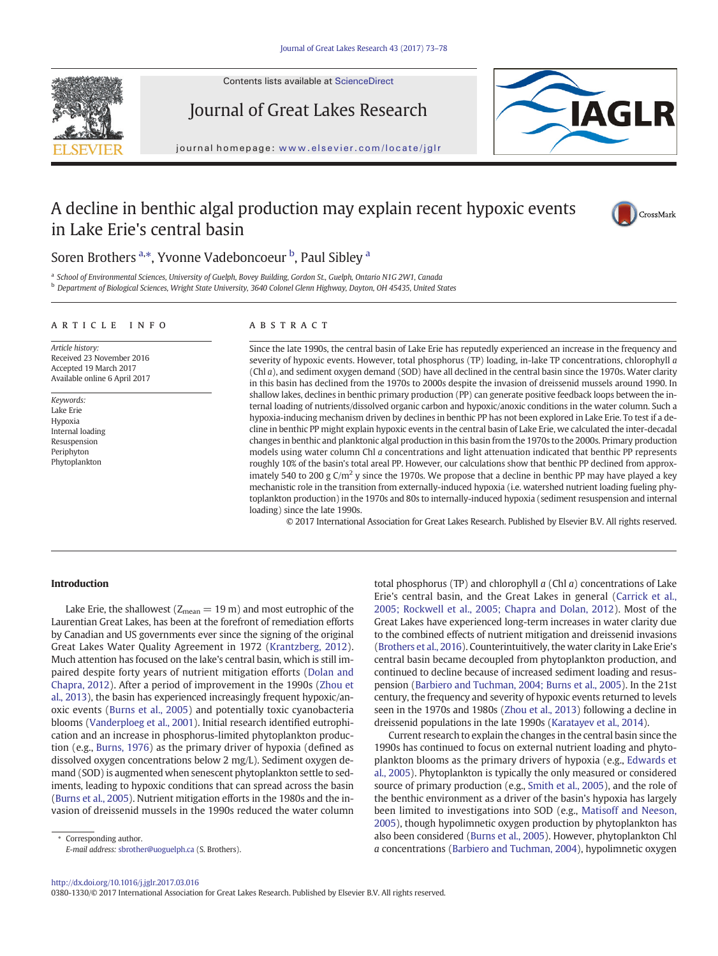Contents lists available at ScienceDirect

Journal of Great Lakes Research



journal homepage: <www.elsevier.com/locate/jglr>

# A decline in benthic algal production may explain recent hypoxic events in Lake Erie's central basin



## Soren Brothers <sup>a,\*</sup>, Yvonne Vadeboncoeur <sup>b</sup>, Paul Sibley <sup>a</sup>

a School of Environmental Sciences, University of Guelph, Bovey Building, Gordon St., Guelph, Ontario N1G 2W1, Canada <sup>b</sup> Department of Biological Sciences, Wright State University, 3640 Colonel Glenn Highway, Dayton, OH 45435, United States

#### article info abstract

Article history: Received 23 November 2016 Accepted 19 March 2017 Available online 6 April 2017

Keywords: Lake Erie Hypoxia Internal loading Resuspension Periphyton Phytoplankton

Since the late 1990s, the central basin of Lake Erie has reputedly experienced an increase in the frequency and severity of hypoxic events. However, total phosphorus (TP) loading, in-lake TP concentrations, chlorophyll a (Chl a), and sediment oxygen demand (SOD) have all declined in the central basin since the 1970s. Water clarity in this basin has declined from the 1970s to 2000s despite the invasion of dreissenid mussels around 1990. In shallow lakes, declines in benthic primary production (PP) can generate positive feedback loops between the internal loading of nutrients/dissolved organic carbon and hypoxic/anoxic conditions in the water column. Such a hypoxia-inducing mechanism driven by declines in benthic PP has not been explored in Lake Erie. To test if a decline in benthic PP might explain hypoxic events in the central basin of Lake Erie, we calculated the inter-decadal changes in benthic and planktonic algal production in this basin from the 1970s to the 2000s. Primary production models using water column Chl a concentrations and light attenuation indicated that benthic PP represents roughly 10% of the basin's total areal PP. However, our calculations show that benthic PP declined from approximately 540 to 200 g  $C/m^2$  y since the 1970s. We propose that a decline in benthic PP may have played a key mechanistic role in the transition from externally-induced hypoxia (i.e. watershed nutrient loading fueling phytoplankton production) in the 1970s and 80s to internally-induced hypoxia (sediment resuspension and internal loading) since the late 1990s.

© 2017 International Association for Great Lakes Research. Published by Elsevier B.V. All rights reserved.

#### Introduction

Lake Erie, the shallowest ( $Z_{mean} = 19$  m) and most eutrophic of the Laurentian Great Lakes, has been at the forefront of remediation efforts by Canadian and US governments ever since the signing of the original Great Lakes Water Quality Agreement in 1972 ([Krantzberg, 2012](#page-5-0)). Much attention has focused on the lake's central basin, which is still impaired despite forty years of nutrient mitigation efforts ([Dolan and](#page-4-0) [Chapra, 2012\)](#page-4-0). After a period of improvement in the 1990s [\(Zhou et](#page-5-0) [al., 2013](#page-5-0)), the basin has experienced increasingly frequent hypoxic/anoxic events ([Burns et al., 2005](#page-4-0)) and potentially toxic cyanobacteria blooms [\(Vanderploeg et al., 2001\)](#page-5-0). Initial research identified eutrophication and an increase in phosphorus-limited phytoplankton production (e.g., [Burns, 1976\)](#page-4-0) as the primary driver of hypoxia (defined as dissolved oxygen concentrations below 2 mg/L). Sediment oxygen demand (SOD) is augmented when senescent phytoplankton settle to sediments, leading to hypoxic conditions that can spread across the basin [\(Burns et al., 2005\)](#page-4-0). Nutrient mitigation efforts in the 1980s and the invasion of dreissenid mussels in the 1990s reduced the water column total phosphorus (TP) and chlorophyll  $a$  (Chl  $a$ ) concentrations of Lake Erie's central basin, and the Great Lakes in general [\(Carrick et al.,](#page-4-0) [2005; Rockwell et al., 2005; Chapra and Dolan, 2012\)](#page-4-0). Most of the Great Lakes have experienced long-term increases in water clarity due to the combined effects of nutrient mitigation and dreissenid invasions [\(Brothers et al., 2016](#page-4-0)). Counterintuitively, the water clarity in Lake Erie's central basin became decoupled from phytoplankton production, and continued to decline because of increased sediment loading and resuspension ([Barbiero and Tuchman, 2004; Burns et al., 2005\)](#page-4-0). In the 21st century, the frequency and severity of hypoxic events returned to levels seen in the 1970s and 1980s ([Zhou et al., 2013](#page-5-0)) following a decline in dreissenid populations in the late 1990s ([Karatayev et al., 2014\)](#page-4-0).

Current research to explain the changes in the central basin since the 1990s has continued to focus on external nutrient loading and phytoplankton blooms as the primary drivers of hypoxia (e.g., [Edwards et](#page-4-0) [al., 2005](#page-4-0)). Phytoplankton is typically the only measured or considered source of primary production (e.g., [Smith et al., 2005](#page-5-0)), and the role of the benthic environment as a driver of the basin's hypoxia has largely been limited to investigations into SOD (e.g., [Matisoff and Neeson,](#page-5-0) [2005](#page-5-0)), though hypolimnetic oxygen production by phytoplankton has also been considered ([Burns et al., 2005\)](#page-4-0). However, phytoplankton Chl a concentrations [\(Barbiero and Tuchman, 2004\)](#page-4-0), hypolimnetic oxygen

#### <http://dx.doi.org/10.1016/j.jglr.2017.03.016>

0380-1330/© 2017 International Association for Great Lakes Research. Published by Elsevier B.V. All rights reserved.

Corresponding author. E-mail address: [sbrother@uoguelph.ca](mailto:sbrother@uoguelph.ca) (S. Brothers).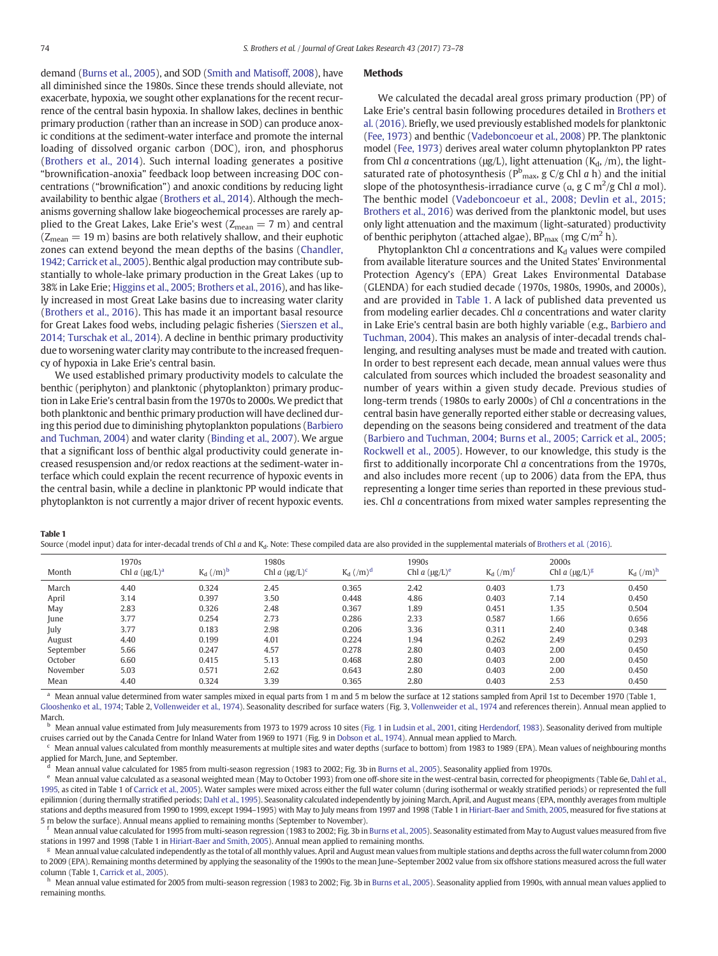demand [\(Burns et al., 2005](#page-4-0)), and SOD [\(Smith and Matisoff, 2008\)](#page-5-0), have all diminished since the 1980s. Since these trends should alleviate, not exacerbate, hypoxia, we sought other explanations for the recent recurrence of the central basin hypoxia. In shallow lakes, declines in benthic primary production (rather than an increase in SOD) can produce anoxic conditions at the sediment-water interface and promote the internal loading of dissolved organic carbon (DOC), iron, and phosphorus [\(Brothers et al., 2014](#page-4-0)). Such internal loading generates a positive "brownification-anoxia" feedback loop between increasing DOC concentrations ("brownification") and anoxic conditions by reducing light availability to benthic algae [\(Brothers et al., 2014\)](#page-4-0). Although the mechanisms governing shallow lake biogeochemical processes are rarely applied to the Great Lakes, Lake Erie's west ( $Z_{mean} = 7$  m) and central  $(Z_{mean} = 19 \text{ m})$  basins are both relatively shallow, and their euphotic zones can extend beyond the mean depths of the basins ([Chandler,](#page-4-0) [1942; Carrick et al., 2005\)](#page-4-0). Benthic algal production may contribute substantially to whole-lake primary production in the Great Lakes (up to 38% in Lake Erie; [Higgins et al., 2005; Brothers et al., 2016](#page-4-0)), and has likely increased in most Great Lake basins due to increasing water clarity [\(Brothers et al., 2016](#page-4-0)). This has made it an important basal resource for Great Lakes food webs, including pelagic fisheries ([Sierszen et al.,](#page-5-0) [2014; Turschak et al., 2014\)](#page-5-0). A decline in benthic primary productivity due to worsening water clarity may contribute to the increased frequency of hypoxia in Lake Erie's central basin.

We used established primary productivity models to calculate the benthic (periphyton) and planktonic (phytoplankton) primary production in Lake Erie's central basin from the 1970s to 2000s. We predict that both planktonic and benthic primary production will have declined during this period due to diminishing phytoplankton populations ([Barbiero](#page-4-0) [and Tuchman, 2004\)](#page-4-0) and water clarity [\(Binding et al., 2007](#page-4-0)). We argue that a significant loss of benthic algal productivity could generate increased resuspension and/or redox reactions at the sediment-water interface which could explain the recent recurrence of hypoxic events in the central basin, while a decline in planktonic PP would indicate that phytoplankton is not currently a major driver of recent hypoxic events.

#### **Methods**

We calculated the decadal areal gross primary production (PP) of Lake Erie's central basin following procedures detailed in [Brothers et](#page-4-0) [al. \(2016\).](#page-4-0) Briefly, we used previously established models for planktonic [\(Fee, 1973\)](#page-4-0) and benthic [\(Vadeboncoeur et al., 2008](#page-5-0)) PP. The planktonic model [\(Fee, 1973\)](#page-4-0) derives areal water column phytoplankton PP rates from Chl a concentrations ( $\mu$ g/L), light attenuation (K<sub>d</sub>, /m), the lightsaturated rate of photosynthesis ( $P_{\text{max}}^{\text{b}}$ , g C/g Chl *a* h) and the initial slope of the photosynthesis-irradiance curve ( $\alpha$ , g C m<sup>2</sup>/g Chl a mol). The benthic model [\(Vadeboncoeur et al., 2008; Devlin et al., 2015;](#page-5-0) [Brothers et al., 2016\)](#page-5-0) was derived from the planktonic model, but uses only light attenuation and the maximum (light-saturated) productivity of benthic periphyton (attached algae),  $BP_{\text{max}}$  (mg C/m<sup>2</sup> h).

Phytoplankton Chl  $a$  concentrations and  $K_d$  values were compiled from available literature sources and the United States' Environmental Protection Agency's (EPA) Great Lakes Environmental Database (GLENDA) for each studied decade (1970s, 1980s, 1990s, and 2000s), and are provided in Table 1. A lack of published data prevented us from modeling earlier decades. Chl a concentrations and water clarity in Lake Erie's central basin are both highly variable (e.g., [Barbiero and](#page-4-0) [Tuchman, 2004\)](#page-4-0). This makes an analysis of inter-decadal trends challenging, and resulting analyses must be made and treated with caution. In order to best represent each decade, mean annual values were thus calculated from sources which included the broadest seasonality and number of years within a given study decade. Previous studies of long-term trends (1980s to early 2000s) of Chl a concentrations in the central basin have generally reported either stable or decreasing values, depending on the seasons being considered and treatment of the data [\(Barbiero and Tuchman, 2004; Burns et al., 2005; Carrick et al., 2005;](#page-4-0) [Rockwell et al., 2005](#page-4-0)). However, to our knowledge, this study is the first to additionally incorporate Chl a concentrations from the 1970s, and also includes more recent (up to 2006) data from the EPA, thus representing a longer time series than reported in these previous studies. Chl a concentrations from mixed water samples representing the

#### Table 1

|  |  |  | Source (model input) data for inter-decadal trends of Chl a and K <sub>d</sub> . Note: These compiled data are also provided in the supplemental materials of Brothers et al. (2016) |  |
|--|--|--|--------------------------------------------------------------------------------------------------------------------------------------------------------------------------------------|--|
|--|--|--|--------------------------------------------------------------------------------------------------------------------------------------------------------------------------------------|--|

| Month     | 1970s<br>Chl a $(\mu g/L)^a$ | $K_d$ $(\mbox{/}m)^b$ | 1980s<br>Chl a $(\mu g/L)^c$ | $K_d$ $(\mbox{/}m)^d$ | 1990s<br>Chl a $(\mu g/L)^e$ | $K_d$ $(\mbox{/}m)^r$ | 2000s<br>Chl a $(\mu g/L)^g$ | $K_d$ $(\mbox{/}m)^h$ |
|-----------|------------------------------|-----------------------|------------------------------|-----------------------|------------------------------|-----------------------|------------------------------|-----------------------|
| March     | 4.40                         | 0.324                 | 2.45                         | 0.365                 | 2.42                         | 0.403                 | 1.73                         | 0.450                 |
| April     | 3.14                         | 0.397                 | 3.50                         | 0.448                 | 4.86                         | 0.403                 | 7.14                         | 0.450                 |
| May       | 2.83                         | 0.326                 | 2.48                         | 0.367                 | 1.89                         | 0.451                 | 1.35                         | 0.504                 |
| June      | 3.77                         | 0.254                 | 2.73                         | 0.286                 | 2.33                         | 0.587                 | 1.66                         | 0.656                 |
| July      | 3.77                         | 0.183                 | 2.98                         | 0.206                 | 3.36                         | 0.311                 | 2.40                         | 0.348                 |
| August    | 4.40                         | 0.199                 | 4.01                         | 0.224                 | 1.94                         | 0.262                 | 2.49                         | 0.293                 |
| September | 5.66                         | 0.247                 | 4.57                         | 0.278                 | 2.80                         | 0.403                 | 2.00                         | 0.450                 |
| October   | 6.60                         | 0.415                 | 5.13                         | 0.468                 | 2.80                         | 0.403                 | 2.00                         | 0.450                 |
| November  | 5.03                         | 0.571                 | 2.62                         | 0.643                 | 2.80                         | 0.403                 | 2.00                         | 0.450                 |
| Mean      | 4.40                         | 0.324                 | 3.39                         | 0.365                 | 2.80                         | 0.403                 | 2.53                         | 0.450                 |

a Mean annual value determined from water samples mixed in equal parts from 1 m and 5 m below the surface at 12 stations sampled from April 1st to December 1970 (Table 1, [Glooshenko et al., 1974](#page-4-0); Table 2, [Vollenweider et al., 1974\)](#page-5-0). Seasonality described for surface waters (Fig. 3, [Vollenweider et al., 1974](#page-5-0) and references therein). Annual mean applied to March.

<sup>b</sup> Mean annual value estimated from July measurements from 1973 to 1979 across 10 sites [\(Fig. 1](#page-2-0) in [Ludsin et al., 2001](#page-5-0), citing [Herdendorf, 1983\)](#page-4-0). Seasonality derived from multiple cruises carried out by the Canada Centre for Inland Water from 1969 to 1971 (Fig. 9 in [Dobson et al., 1974\)](#page-4-0). Annual mean applied to March.

<sup>c</sup> Mean annual values calculated from monthly measurements at multiple sites and water depths (surface to bottom) from 1983 to 1989 (EPA). Mean values of neighbouring months applied for March, June, and September.

<sup>d</sup> Mean annual value calculated for 1985 from multi-season regression (1983 to 2002; Fig. 3b in [Burns et al., 2005](#page-4-0)). Seasonality applied from 1970s.

e Mean annual value calculated as a seasonal weighted mean (May to October 1993) from one off-shore site in the west-central basin, corrected for pheopigments (Table 6e, [Dahl et al.,](#page-4-0) [1995](#page-4-0), as cited in Table 1 of [Carrick et al., 2005\)](#page-4-0). Water samples were mixed across either the full water column (during isothermal or weakly stratified periods) or represented the full epilimnion (during thermally stratified periods; [Dahl et al., 1995\)](#page-4-0). Seasonality calculated independently by joining March, April, and August means (EPA, monthly averages from multiple stations and depths measured from 1990 to 1999, except 1994–1995) with May to July means from 1997 and 1998 (Table 1 in [Hiriart-Baer and Smith, 2005](#page-4-0), measured for five stations at 5 m below the surface). Annual means applied to remaining months (September to November).

Mean annual value calculated for 1995 from multi-season regression (1983 to 2002; Fig. 3b in [Burns et al., 2005](#page-4-0)). Seasonality estimated from May to August values measured from five stations in 1997 and 1998 (Table 1 in [Hiriart-Baer and Smith, 2005\)](#page-4-0). Annual mean applied to remaining months.

<sup>g</sup> Mean annual value calculated independently as the total of all monthly values. April and August mean values from multiple stations and depths across the full water column from 2000 to 2009 (EPA). Remaining months determined by applying the seasonality of the 1990s to the mean June–September 2002 value from six offshore stations measured across the full water column (Table 1, [Carrick et al., 2005](#page-4-0)).

h Mean annual value estimated for 2005 from multi-season regression (1983 to 2002; Fig. 3b in [Burns et al., 2005\)](#page-4-0). Seasonality applied from 1990s, with annual mean values applied to remaining months.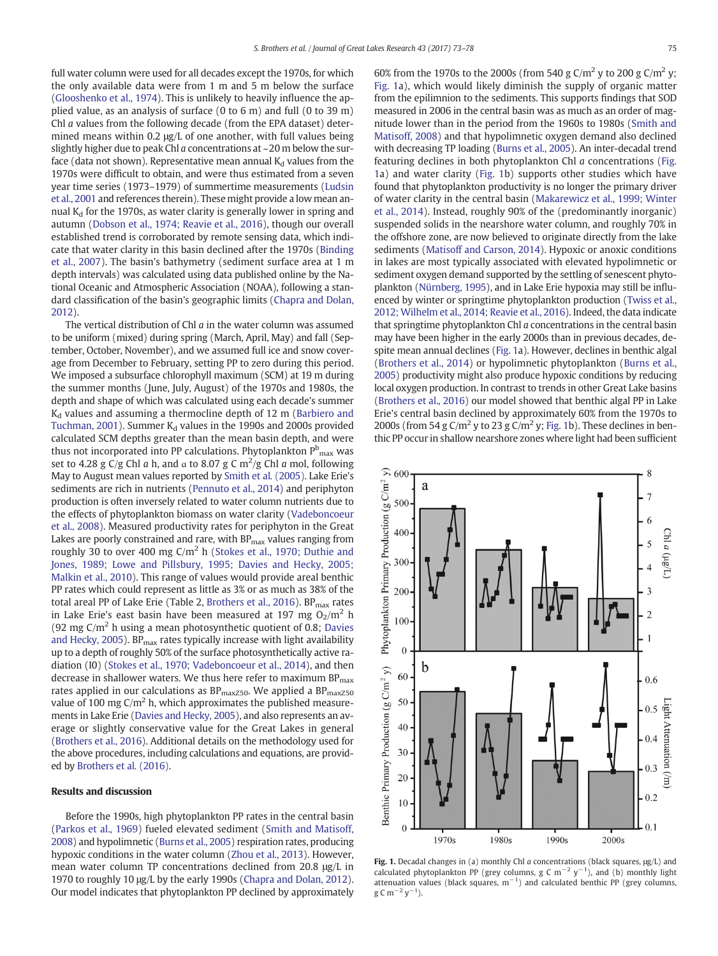<span id="page-2-0"></span>full water column were used for all decades except the 1970s, for which the only available data were from 1 m and 5 m below the surface [\(Glooshenko et al., 1974](#page-4-0)). This is unlikely to heavily influence the applied value, as an analysis of surface (0 to 6 m) and full (0 to 39 m) Chl a values from the following decade (from the EPA dataset) determined means within 0.2 μg/L of one another, with full values being slightly higher due to peak Chl a concentrations at ~20 m below the surface (data not shown). Representative mean annual  $K_d$  values from the 1970s were difficult to obtain, and were thus estimated from a seven year time series (1973–1979) of summertime measurements ([Ludsin](#page-5-0) [et al., 2001](#page-5-0) and references therein). These might provide a low mean annual  $K_d$  for the 1970s, as water clarity is generally lower in spring and autumn ([Dobson et al., 1974; Reavie et al., 2016\)](#page-4-0), though our overall established trend is corroborated by remote sensing data, which indicate that water clarity in this basin declined after the 1970s ([Binding](#page-4-0) [et al., 2007\)](#page-4-0). The basin's bathymetry (sediment surface area at 1 m depth intervals) was calculated using data published online by the National Oceanic and Atmospheric Association (NOAA), following a standard classification of the basin's geographic limits [\(Chapra and Dolan,](#page-4-0) [2012](#page-4-0)).

The vertical distribution of Chl  $a$  in the water column was assumed to be uniform (mixed) during spring (March, April, May) and fall (September, October, November), and we assumed full ice and snow coverage from December to February, setting PP to zero during this period. We imposed a subsurface chlorophyll maximum (SCM) at 19 m during the summer months (June, July, August) of the 1970s and 1980s, the depth and shape of which was calculated using each decade's summer  $K_d$  values and assuming a thermocline depth of 12 m [\(Barbiero and](#page-4-0) [Tuchman, 2001](#page-4-0)). Summer  $K_d$  values in the 1990s and 2000s provided calculated SCM depths greater than the mean basin depth, and were thus not incorporated into PP calculations. Phytoplankton  ${\tt P^b_{max}}$  was set to 4.28 g C/g Chl a h, and a to 8.07 g C m<sup>2</sup>/g Chl a mol, following May to August mean values reported by [Smith et al. \(2005\).](#page-5-0) Lake Erie's sediments are rich in nutrients ([Pennuto et al., 2014\)](#page-5-0) and periphyton production is often inversely related to water column nutrients due to the effects of phytoplankton biomass on water clarity ([Vadeboncoeur](#page-5-0) [et al., 2008](#page-5-0)). Measured productivity rates for periphyton in the Great Lakes are poorly constrained and rare, with  $BP_{\text{max}}$  values ranging from roughly 30 to over 400 mg  $C/m^2$  h ([Stokes et al., 1970; Duthie and](#page-5-0) [Jones, 1989; Lowe and Pillsbury, 1995; Davies and Hecky, 2005;](#page-5-0) [Malkin et al., 2010](#page-5-0)). This range of values would provide areal benthic PP rates which could represent as little as 3% or as much as 38% of the total areal PP of Lake Erie (Table 2, [Brothers et al., 2016\)](#page-4-0). BP<sub>max</sub> rates in Lake Erie's east basin have been measured at 197 mg  $O_2/m^2$  h (92 mg  $C/m<sup>2</sup>$  h using a mean photosynthetic quotient of 0.8; [Davies](#page-4-0) [and Hecky, 2005](#page-4-0)).  $BP_{max}$  rates typically increase with light availability up to a depth of roughly 50% of the surface photosynthetically active radiation (I0) ([Stokes et al., 1970; Vadeboncoeur et al., 2014\)](#page-5-0), and then decrease in shallower waters. We thus here refer to maximum  $BP_{\text{max}}$ rates applied in our calculations as  $BP_{maxZ50}$ . We applied a  $BP_{maxZ50}$ value of 100 mg  $C/m<sup>2</sup>$  h, which approximates the published measurements in Lake Erie ([Davies and Hecky, 2005](#page-4-0)), and also represents an average or slightly conservative value for the Great Lakes in general [\(Brothers et al., 2016\)](#page-4-0). Additional details on the methodology used for the above procedures, including calculations and equations, are provided by [Brothers et al. \(2016\)](#page-4-0).

#### Results and discussion

Before the 1990s, high phytoplankton PP rates in the central basin [\(Parkos et al., 1969](#page-5-0)) fueled elevated sediment ([Smith and Matisoff,](#page-5-0) [2008](#page-5-0)) and hypolimnetic [\(Burns et al., 2005\)](#page-4-0) respiration rates, producing hypoxic conditions in the water column [\(Zhou et al., 2013\)](#page-5-0). However, mean water column TP concentrations declined from 20.8 μg/L in 1970 to roughly 10 μg/L by the early 1990s [\(Chapra and Dolan, 2012](#page-4-0)). Our model indicates that phytoplankton PP declined by approximately 60% from the 1970s to the 2000s (from 540 g C/m<sup>2</sup> y to 200 g C/m<sup>2</sup> y; Fig. 1a), which would likely diminish the supply of organic matter from the epilimnion to the sediments. This supports findings that SOD measured in 2006 in the central basin was as much as an order of magnitude lower than in the period from the 1960s to 1980s ([Smith and](#page-5-0) [Matisoff, 2008\)](#page-5-0) and that hypolimnetic oxygen demand also declined with decreasing TP loading [\(Burns et al., 2005](#page-4-0)). An inter-decadal trend featuring declines in both phytoplankton Chl a concentrations (Fig. 1a) and water clarity (Fig. 1b) supports other studies which have found that phytoplankton productivity is no longer the primary driver of water clarity in the central basin ([Makarewicz et al., 1999; Winter](#page-5-0) [et al., 2014](#page-5-0)). Instead, roughly 90% of the (predominantly inorganic) suspended solids in the nearshore water column, and roughly 70% in the offshore zone, are now believed to originate directly from the lake sediments [\(Matisoff and Carson, 2014](#page-5-0)). Hypoxic or anoxic conditions in lakes are most typically associated with elevated hypolimnetic or sediment oxygen demand supported by the settling of senescent phytoplankton ([Nürnberg, 1995](#page-5-0)), and in Lake Erie hypoxia may still be influenced by winter or springtime phytoplankton production ([Twiss et al.,](#page-5-0) [2012; Wilhelm et al., 2014; Reavie et al., 2016\)](#page-5-0). Indeed, the data indicate that springtime phytoplankton Chl a concentrations in the central basin may have been higher in the early 2000s than in previous decades, despite mean annual declines (Fig. 1a). However, declines in benthic algal [\(Brothers et al., 2014](#page-4-0)) or hypolimnetic phytoplankton ([Burns et al.,](#page-4-0) [2005](#page-4-0)) productivity might also produce hypoxic conditions by reducing local oxygen production. In contrast to trends in other Great Lake basins [\(Brothers et al., 2016\)](#page-4-0) our model showed that benthic algal PP in Lake Erie's central basin declined by approximately 60% from the 1970s to 2000s (from 54 g C/m<sup>2</sup> y to 23 g C/m<sup>2</sup> y; Fig. 1b). These declines in benthic PP occur in shallow nearshore zones where light had been sufficient



Fig. 1. Decadal changes in (a) monthly Chl a concentrations (black squares, μg/L) and calculated phytoplankton PP (grey columns, g C m<sup>-2</sup> y<sup>-1</sup>), and (b) monthly light attenuation values (black squares,  $m^{-1}$ ) and calculated benthic PP (grey columns,  $g \text{ C m}^{-2}$  y<sup>-1</sup>).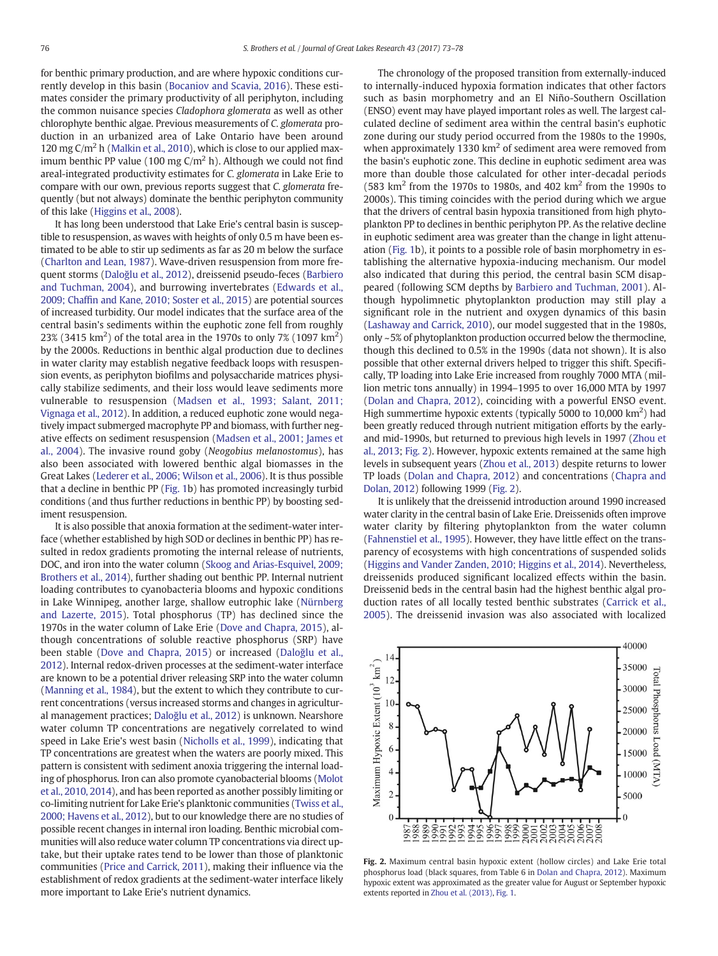for benthic primary production, and are where hypoxic conditions currently develop in this basin [\(Bocaniov and Scavia, 2016](#page-4-0)). These estimates consider the primary productivity of all periphyton, including the common nuisance species Cladophora glomerata as well as other chlorophyte benthic algae. Previous measurements of C. glomerata production in an urbanized area of Lake Ontario have been around 120 mg C/m<sup>2</sup> h [\(Malkin et al., 2010\)](#page-5-0), which is close to our applied maximum benthic PP value (100 mg  $C/m<sup>2</sup>$  h). Although we could not find areal-integrated productivity estimates for C. glomerata in Lake Erie to compare with our own, previous reports suggest that C. glomerata frequently (but not always) dominate the benthic periphyton community of this lake [\(Higgins et al., 2008\)](#page-4-0).

It has long been understood that Lake Erie's central basin is susceptible to resuspension, as waves with heights of only 0.5 m have been estimated to be able to stir up sediments as far as 20 m below the surface [\(Charlton and Lean, 1987\)](#page-4-0). Wave-driven resuspension from more frequent storms (Daloğ[lu et al., 2012\)](#page-4-0), dreissenid pseudo-feces [\(Barbiero](#page-4-0) [and Tuchman, 2004\)](#page-4-0), and burrowing invertebrates ([Edwards et al.,](#page-4-0) 2009; Chaffi[n and Kane, 2010; Soster et al., 2015\)](#page-4-0) are potential sources of increased turbidity. Our model indicates that the surface area of the central basin's sediments within the euphotic zone fell from roughly 23% (3415 km<sup>2</sup>) of the total area in the 1970s to only 7% (1097 km<sup>2</sup>) by the 2000s. Reductions in benthic algal production due to declines in water clarity may establish negative feedback loops with resuspension events, as periphyton biofilms and polysaccharide matrices physically stabilize sediments, and their loss would leave sediments more vulnerable to resuspension [\(Madsen et al., 1993; Salant, 2011;](#page-5-0) [Vignaga et al., 2012](#page-5-0)). In addition, a reduced euphotic zone would negatively impact submerged macrophyte PP and biomass, with further negative effects on sediment resuspension [\(Madsen et al., 2001; James et](#page-5-0) [al., 2004](#page-5-0)). The invasive round goby (Neogobius melanostomus), has also been associated with lowered benthic algal biomasses in the Great Lakes [\(Lederer et al., 2006; Wilson et al., 2006\)](#page-5-0). It is thus possible that a decline in benthic PP ([Fig. 1b](#page-2-0)) has promoted increasingly turbid conditions (and thus further reductions in benthic PP) by boosting sediment resuspension.

It is also possible that anoxia formation at the sediment-water interface (whether established by high SOD or declines in benthic PP) has resulted in redox gradients promoting the internal release of nutrients, DOC, and iron into the water column ([Skoog and Arias-Esquivel, 2009;](#page-5-0) [Brothers et al., 2014](#page-5-0)), further shading out benthic PP. Internal nutrient loading contributes to cyanobacteria blooms and hypoxic conditions in Lake Winnipeg, another large, shallow eutrophic lake ([Nürnberg](#page-5-0) [and Lazerte, 2015\)](#page-5-0). Total phosphorus (TP) has declined since the 1970s in the water column of Lake Erie ([Dove and Chapra, 2015\)](#page-4-0), although concentrations of soluble reactive phosphorus (SRP) have been stable ([Dove and Chapra, 2015](#page-4-0)) or increased (Daloğ[lu et al.,](#page-4-0) [2012\)](#page-4-0). Internal redox-driven processes at the sediment-water interface are known to be a potential driver releasing SRP into the water column [\(Manning et al., 1984](#page-5-0)), but the extent to which they contribute to current concentrations (versus increased storms and changes in agricultural management practices; Daloğ[lu et al., 2012](#page-4-0)) is unknown. Nearshore water column TP concentrations are negatively correlated to wind speed in Lake Erie's west basin [\(Nicholls et al., 1999\)](#page-5-0), indicating that TP concentrations are greatest when the waters are poorly mixed. This pattern is consistent with sediment anoxia triggering the internal loading of phosphorus. Iron can also promote cyanobacterial blooms ([Molot](#page-5-0) [et al., 2010, 2014](#page-5-0)), and has been reported as another possibly limiting or co-limiting nutrient for Lake Erie's planktonic communities [\(Twiss et al.,](#page-5-0) [2000; Havens et al., 2012\)](#page-5-0), but to our knowledge there are no studies of possible recent changes in internal iron loading. Benthic microbial communities will also reduce water column TP concentrations via direct uptake, but their uptake rates tend to be lower than those of planktonic communities [\(Price and Carrick, 2011](#page-5-0)), making their influence via the establishment of redox gradients at the sediment-water interface likely more important to Lake Erie's nutrient dynamics.

The chronology of the proposed transition from externally-induced to internally-induced hypoxia formation indicates that other factors such as basin morphometry and an El Niño-Southern Oscillation (ENSO) event may have played important roles as well. The largest calculated decline of sediment area within the central basin's euphotic zone during our study period occurred from the 1980s to the 1990s, when approximately 1330  $km<sup>2</sup>$  of sediment area were removed from the basin's euphotic zone. This decline in euphotic sediment area was more than double those calculated for other inter-decadal periods (583 km<sup>2</sup> from the 1970s to 1980s, and 402 km<sup>2</sup> from the 1990s to 2000s). This timing coincides with the period during which we argue that the drivers of central basin hypoxia transitioned from high phytoplankton PP to declines in benthic periphyton PP. As the relative decline in euphotic sediment area was greater than the change in light attenuation ([Fig. 1](#page-2-0)b), it points to a possible role of basin morphometry in establishing the alternative hypoxia-inducing mechanism. Our model also indicated that during this period, the central basin SCM disappeared (following SCM depths by [Barbiero and Tuchman, 2001](#page-4-0)). Although hypolimnetic phytoplankton production may still play a significant role in the nutrient and oxygen dynamics of this basin [\(Lashaway and Carrick, 2010](#page-5-0)), our model suggested that in the 1980s, only ~5% of phytoplankton production occurred below the thermocline, though this declined to 0.5% in the 1990s (data not shown). It is also possible that other external drivers helped to trigger this shift. Specifically, TP loading into Lake Erie increased from roughly 7000 MTA (million metric tons annually) in 1994–1995 to over 16,000 MTA by 1997 [\(Dolan and Chapra, 2012](#page-4-0)), coinciding with a powerful ENSO event. High summertime hypoxic extents (typically 5000 to 10,000  $\text{km}^2$ ) had been greatly reduced through nutrient mitigation efforts by the earlyand mid-1990s, but returned to previous high levels in 1997 [\(Zhou et](#page-5-0) [al., 2013](#page-5-0); Fig. 2). However, hypoxic extents remained at the same high levels in subsequent years [\(Zhou et al., 2013\)](#page-5-0) despite returns to lower TP loads ([Dolan and Chapra, 2012\)](#page-4-0) and concentrations ([Chapra and](#page-4-0) [Dolan, 2012](#page-4-0)) following 1999 (Fig. 2).

It is unlikely that the dreissenid introduction around 1990 increased water clarity in the central basin of Lake Erie. Dreissenids often improve water clarity by filtering phytoplankton from the water column [\(Fahnenstiel et al., 1995](#page-4-0)). However, they have little effect on the transparency of ecosystems with high concentrations of suspended solids [\(Higgins and Vander Zanden, 2010; Higgins et al., 2014\)](#page-4-0). Nevertheless, dreissenids produced significant localized effects within the basin. Dreissenid beds in the central basin had the highest benthic algal production rates of all locally tested benthic substrates [\(Carrick et al.,](#page-4-0) [2005](#page-4-0)). The dreissenid invasion was also associated with localized



Fig. 2. Maximum central basin hypoxic extent (hollow circles) and Lake Erie total phosphorus load (black squares, from Table 6 in [Dolan and Chapra, 2012](#page-4-0)). Maximum hypoxic extent was approximated as the greater value for August or September hypoxic extents reported in [Zhou et al. \(2013\),](#page-5-0) [Fig. 1.](#page-2-0)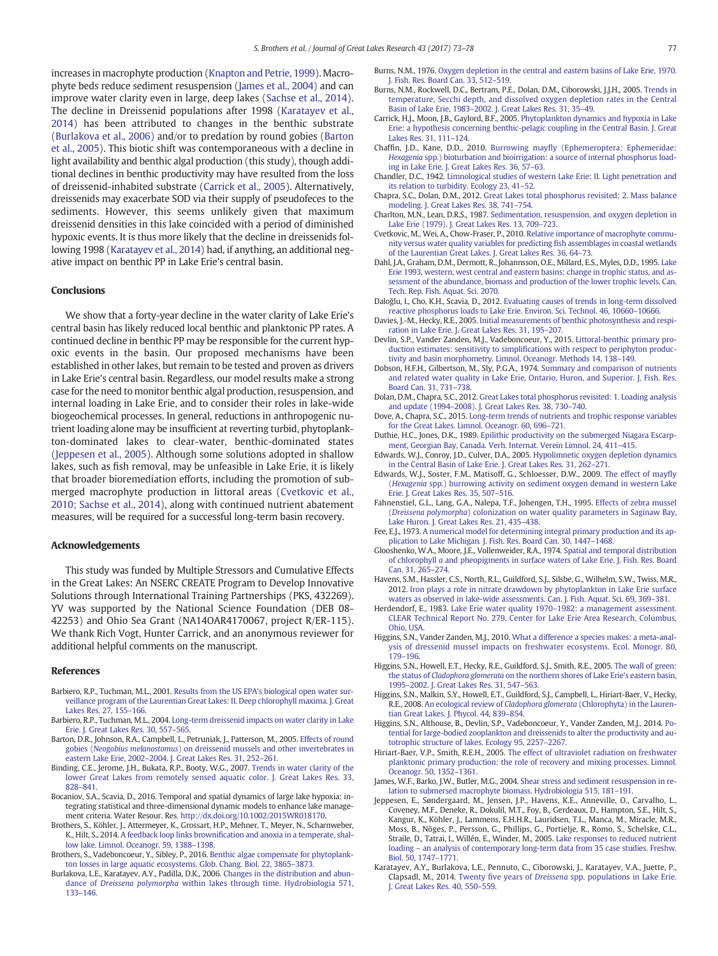<span id="page-4-0"></span>increases in macrophyte production [\(Knapton and Petrie, 1999](#page-5-0)). Macrophyte beds reduce sediment resuspension (James et al., 2004) and can improve water clarity even in large, deep lakes ([Sachse et al., 2014](#page-5-0)). The decline in Dreissenid populations after 1998 (Karatayev et al., 2014) has been attributed to changes in the benthic substrate (Burlakova et al., 2006) and/or to predation by round gobies (Barton et al., 2005). This biotic shift was contemporaneous with a decline in light availability and benthic algal production (this study), though additional declines in benthic productivity may have resulted from the loss of dreissenid-inhabited substrate (Carrick et al., 2005). Alternatively, dreissenids may exacerbate SOD via their supply of pseudofeces to the sediments. However, this seems unlikely given that maximum dreissenid densities in this lake coincided with a period of diminished hypoxic events. It is thus more likely that the decline in dreissenids following 1998 (Karatayev et al., 2014) had, if anything, an additional negative impact on benthic PP in Lake Erie's central basin.

### Conclusions

We show that a forty-year decline in the water clarity of Lake Erie's central basin has likely reduced local benthic and planktonic PP rates. A continued decline in benthic PP may be responsible for the current hypoxic events in the basin. Our proposed mechanisms have been established in other lakes, but remain to be tested and proven as drivers in Lake Erie's central basin. Regardless, our model results make a strong case for the need to monitor benthic algal production, resuspension, and internal loading in Lake Erie, and to consider their roles in lake-wide biogeochemical processes. In general, reductions in anthropogenic nutrient loading alone may be insufficient at reverting turbid, phytoplankton-dominated lakes to clear-water, benthic-dominated states (Jeppesen et al., 2005). Although some solutions adopted in shallow lakes, such as fish removal, may be unfeasible in Lake Erie, it is likely that broader bioremediation efforts, including the promotion of submerged macrophyte production in littoral areas (Cvetkovic et al., 2010; Sachse et al., 2014), along with continued nutrient abatement measures, will be required for a successful long-term basin recovery.

#### Acknowledgements

This study was funded by Multiple Stressors and Cumulative Effects in the Great Lakes: An NSERC CREATE Program to Develop Innovative Solutions through International Training Partnerships (PKS, 432269). YV was supported by the National Science Foundation (DEB 08- 42253) and Ohio Sea Grant (NA14OAR4170067, project R/ER-115). We thank Rich Vogt, Hunter Carrick, and an anonymous reviewer for additional helpful comments on the manuscript.

#### References

- Barbiero, R.P., Tuchman, M.L., 2001. [Results from the US EPA's biological open water sur](http://refhub.elsevier.com/S0380-1330(17)30057-6/rf0005)[veillance program of the Laurentian Great Lakes: II. Deep chlorophyll maxima. J. Great](http://refhub.elsevier.com/S0380-1330(17)30057-6/rf0005) [Lakes Res. 27, 155](http://refhub.elsevier.com/S0380-1330(17)30057-6/rf0005)–166.
- Barbiero, R.P., Tuchman, M.L., 2004. [Long-term dreissenid impacts on water clarity in Lake](http://refhub.elsevier.com/S0380-1330(17)30057-6/rf0010) [Erie. J. Great Lakes Res. 30, 557](http://refhub.elsevier.com/S0380-1330(17)30057-6/rf0010)–565.
- Barton, D.R., Johnson, R.A., Campbell, L., Petruniak, J., Patterson, M., 2005. [Effects of round](http://refhub.elsevier.com/S0380-1330(17)30057-6/rf0015) gobies (Neogobius melanostomus[\) on dreissenid mussels and other invertebrates in](http://refhub.elsevier.com/S0380-1330(17)30057-6/rf0015) eastern Lake Erie, 2002–[2004. J. Great Lakes Res. 31, 252](http://refhub.elsevier.com/S0380-1330(17)30057-6/rf0015)–261.
- Binding, C.E., Jerome, J.H., Bukata, R.P., Booty, W.G., 2007. [Trends in water clarity of the](http://refhub.elsevier.com/S0380-1330(17)30057-6/rf0020) [lower Great Lakes from remotely sensed aquatic color. J. Great Lakes Res. 33,](http://refhub.elsevier.com/S0380-1330(17)30057-6/rf0020) [828](http://refhub.elsevier.com/S0380-1330(17)30057-6/rf0020)–841.
- Bocaniov, S.A., Scavia, D., 2016. Temporal and spatial dynamics of large lake hypoxia: integrating statistical and three-dimensional dynamic models to enhance lake management criteria. Water Resour. Res. http://dx.doi.org/[10.1002/2015WR018170](http://dx.doi.org/10.1002/2015WR018170).
- Brothers, S., Köhler, J., Attermeyer, K., Grossart, H.P., Mehner, T., Meyer, N., Scharnweber, K., Hilt, S., 2014. A feedback loop links brownifi[cation and anoxia in a temperate, shal](http://refhub.elsevier.com/S0380-1330(17)30057-6/rf0030)[low lake. Limnol. Oceanogr. 59, 1388](http://refhub.elsevier.com/S0380-1330(17)30057-6/rf0030)–1398.
- Brothers, S., Vadeboncoeur, Y., Sibley, P., 2016. [Benthic algae compensate for phytoplank](http://refhub.elsevier.com/S0380-1330(17)30057-6/rf0035)[ton losses in large aquatic ecosystems. Glob. Chang. Biol. 22, 3865](http://refhub.elsevier.com/S0380-1330(17)30057-6/rf0035)–3873.
- Burlakova, L.E., Karatayev, A.Y., Padilla, D.K., 2006. [Changes in the distribution and abun](http://refhub.elsevier.com/S0380-1330(17)30057-6/rf0040)dance of Dreissena polymorpha [within lakes through time. Hydrobiologia 571,](http://refhub.elsevier.com/S0380-1330(17)30057-6/rf0040) [133](http://refhub.elsevier.com/S0380-1330(17)30057-6/rf0040)–146.

Burns, N.M., 1976. [Oxygen depletion in the central and eastern basins of Lake Erie, 1970.](http://refhub.elsevier.com/S0380-1330(17)30057-6/rf0045) [J. Fish. Res. Board Can. 33, 512](http://refhub.elsevier.com/S0380-1330(17)30057-6/rf0045)–519.

- Burns, N.M., Rockwell, D.C., Bertram, P.E., Dolan, D.M., Ciborowski, J.J.H., 2005. [Trends in](http://refhub.elsevier.com/S0380-1330(17)30057-6/rf0050) [temperature, Secchi depth, and dissolved oxygen depletion rates in the Central](http://refhub.elsevier.com/S0380-1330(17)30057-6/rf0050) Basin of Lake Erie, 1983–[2002. J. Great Lakes Res. 31, 35](http://refhub.elsevier.com/S0380-1330(17)30057-6/rf0050)–49. Carrick, H.J., Moon, J.B., Gaylord, B.F., 2005. [Phytoplankton dynamics and hypoxia in Lake](http://refhub.elsevier.com/S0380-1330(17)30057-6/rf0055)
- [Erie: a hypothesis concerning benthic-pelagic coupling in the Central Basin. J. Great](http://refhub.elsevier.com/S0380-1330(17)30057-6/rf0055) [Lakes Res. 31, 111](http://refhub.elsevier.com/S0380-1330(17)30057-6/rf0055)–124.
- Chaffin, J.D., Kane, D.D., 2010. Burrowing mayfl[y \(Ephemeroptera: Ephemeridae:](http://refhub.elsevier.com/S0380-1330(17)30057-6/rf0060) Hexagenia [spp.\) bioturbation and bioirrigation: a source of internal phosphorus load](http://refhub.elsevier.com/S0380-1330(17)30057-6/rf0060)[ing in Lake Erie. J. Great Lakes Res. 36, 57](http://refhub.elsevier.com/S0380-1330(17)30057-6/rf0060)–63.
- Chandler, D.C., 1942. [Limnological studies of western Lake Erie: II. Light penetration and](http://refhub.elsevier.com/S0380-1330(17)30057-6/rf0065) [its relation to turbidity. Ecology 23, 41](http://refhub.elsevier.com/S0380-1330(17)30057-6/rf0065)–52.
- Chapra, S.C., Dolan, D.M., 2012. [Great Lakes total phosphorus revisited: 2. Mass balance](http://refhub.elsevier.com/S0380-1330(17)30057-6/rf0070) [modeling. J. Great Lakes Res. 38, 741](http://refhub.elsevier.com/S0380-1330(17)30057-6/rf0070)–754.
- Charlton, M.N., Lean, D.R.S., 1987. [Sedimentation, resuspension, and oxygen depletion in](http://refhub.elsevier.com/S0380-1330(17)30057-6/rf0075) [Lake Erie \(1979\). J. Great Lakes Res. 13, 709](http://refhub.elsevier.com/S0380-1330(17)30057-6/rf0075)–723.
- Cvetkovic, M., Wei, A., Chow-Fraser, P., 2010. [Relative importance of macrophyte commu](http://refhub.elsevier.com/S0380-1330(17)30057-6/rf0080)[nity versus water quality variables for predicting](http://refhub.elsevier.com/S0380-1330(17)30057-6/rf0080) fish assemblages in coastal wetlands [of the Laurentian Great Lakes. J. Great Lakes Res. 36, 64](http://refhub.elsevier.com/S0380-1330(17)30057-6/rf0080)–73.
- Dahl, J.A., Graham, D.M., Dermott, R., Johannsson, O.E., Millard, E.S., Myles, D.D., 1995. [Lake](http://refhub.elsevier.com/S0380-1330(17)30057-6/rf0085) [Erie 1993, western, west central and eastern basins: change in trophic status, and as](http://refhub.elsevier.com/S0380-1330(17)30057-6/rf0085)[sessment of the abundance, biomass and production of the lower trophic levels. Can.](http://refhub.elsevier.com/S0380-1330(17)30057-6/rf0085) [Tech. Rep. Fish. Aquat. Sci. 2070](http://refhub.elsevier.com/S0380-1330(17)30057-6/rf0085).
- Daloğlu, I., Cho, K.H., Scavia, D., 2012. [Evaluating causes of trends in long-term dissolved](http://refhub.elsevier.com/S0380-1330(17)30057-6/rf0090) [reactive phosphorus loads to Lake Erie. Environ. Sci. Technol. 46, 10660](http://refhub.elsevier.com/S0380-1330(17)30057-6/rf0090)–10666.
- Davies, J.-M., Hecky, R.E., 2005. [Initial measurements of benthic photosynthesis and respi](http://refhub.elsevier.com/S0380-1330(17)30057-6/rf0095)[ration in Lake Erie. J. Great Lakes Res. 31, 195](http://refhub.elsevier.com/S0380-1330(17)30057-6/rf0095)–207.
- Devlin, S.P., Vander Zanden, M.J., Vadeboncoeur, Y., 2015. [Littoral-benthic primary pro](http://refhub.elsevier.com/S0380-1330(17)30057-6/rf0100)duction estimates: sensitivity to simplifi[cations with respect to periphyton produc](http://refhub.elsevier.com/S0380-1330(17)30057-6/rf0100)[tivity and basin morphometry. Limnol. Oceanogr. Methods 14, 138](http://refhub.elsevier.com/S0380-1330(17)30057-6/rf0100)–149.
- Dobson, H.F.H., Gilbertson, M., Sly, P.G.A., 1974. [Summary and comparison of nutrients](http://refhub.elsevier.com/S0380-1330(17)30057-6/rf0105) [and related water quality in Lake Erie, Ontario, Huron, and Superior. J. Fish. Res.](http://refhub.elsevier.com/S0380-1330(17)30057-6/rf0105) [Board Can. 31, 731](http://refhub.elsevier.com/S0380-1330(17)30057-6/rf0105)–738.
- Dolan, D.M., Chapra, S.C., 2012. [Great Lakes total phosphorus revisited: 1. Loading analysis](http://refhub.elsevier.com/S0380-1330(17)30057-6/rf0110) and update (1994–[2008\). J. Great Lakes Res. 38, 730](http://refhub.elsevier.com/S0380-1330(17)30057-6/rf0110)–740.
- Dove, A., Chapra, S.C., 2015. [Long-term trends of nutrients and trophic response variables](http://refhub.elsevier.com/S0380-1330(17)30057-6/rf0115) [for the Great Lakes. Limnol. Oceanogr. 60, 696](http://refhub.elsevier.com/S0380-1330(17)30057-6/rf0115)–721.
- Duthie, H.C., Jones, D.K., 1989. [Epilithic productivity on the submerged Niagara Escarp](http://refhub.elsevier.com/S0380-1330(17)30057-6/rf50003)[ment, Georgian Bay, Canada. Verh. Internat. Verein Limnol. 24, 411](http://refhub.elsevier.com/S0380-1330(17)30057-6/rf50003)–415.
- Edwards, W.J., Conroy, J.D., Culver, D.A., 2005. [Hypolimnetic oxygen depletion dynamics](http://refhub.elsevier.com/S0380-1330(17)30057-6/rf0120) [in the Central Basin of Lake Erie. J. Great Lakes Res. 31, 262](http://refhub.elsevier.com/S0380-1330(17)30057-6/rf0120)–271.
- Edwards, W.J., Soster, F.M., Matisoff, G., Schloesser, D.W., 2009. [The effect of may](http://refhub.elsevier.com/S0380-1330(17)30057-6/rf0125)fly (Hexagenia [spp.\) burrowing activity on sediment oxygen demand in western Lake](http://refhub.elsevier.com/S0380-1330(17)30057-6/rf0125) [Erie. J. Great Lakes Res. 35, 507](http://refhub.elsevier.com/S0380-1330(17)30057-6/rf0125)–516.
- Fahnenstiel, G.L., Lang, G.A., Nalepa, T.F., Johengen, T.H., 1995. [Effects of zebra mussel](http://refhub.elsevier.com/S0380-1330(17)30057-6/rf0130) (Dreissena polymorpha[\) colonization on water quality parameters in Saginaw Bay,](http://refhub.elsevier.com/S0380-1330(17)30057-6/rf0130) [Lake Huron. J. Great Lakes Res. 21, 435](http://refhub.elsevier.com/S0380-1330(17)30057-6/rf0130)–438.
- Fee, E.J., 1973. [A numerical model for determining integral primary production and its ap](http://refhub.elsevier.com/S0380-1330(17)30057-6/rf0135)[plication to Lake Michigan. J. Fish. Res. Board Can. 30, 1447](http://refhub.elsevier.com/S0380-1330(17)30057-6/rf0135)–1468.
- Glooshenko, W.A., Moore, J.E., Vollenweider, R.A., 1974. [Spatial and temporal distribution](http://refhub.elsevier.com/S0380-1330(17)30057-6/rf0140) of chlorophyll a [and pheopigments in surface waters of Lake Erie. J. Fish. Res. Board](http://refhub.elsevier.com/S0380-1330(17)30057-6/rf0140) [Can. 31, 265](http://refhub.elsevier.com/S0380-1330(17)30057-6/rf0140)–274.
- Havens, S.M., Hassler, C.S., North, R.L., Guildford, S.J., Silsbe, G., Wilhelm, S.W., Twiss, M.R., 2012. [Iron plays a role in nitrate drawdown by phytoplankton in Lake Erie surface](http://refhub.elsevier.com/S0380-1330(17)30057-6/rf0145) [waters as observed in lake-wide assessments. Can. J. Fish. Aquat. Sci. 69, 369](http://refhub.elsevier.com/S0380-1330(17)30057-6/rf0145)–381.
- Herdendorf, E., 1983. Lake Erie water quality 1970–[1982: a management assessment.](http://refhub.elsevier.com/S0380-1330(17)30057-6/rf0150) [CLEAR Technical Report No. 279. Center for Lake Erie Area Research, Columbus,](http://refhub.elsevier.com/S0380-1330(17)30057-6/rf0150) [Ohio, USA.](http://refhub.elsevier.com/S0380-1330(17)30057-6/rf0150)
- Higgins, S.N., Vander Zanden, M.J., 2010. [What a difference a species makes: a meta-anal](http://refhub.elsevier.com/S0380-1330(17)30057-6/rf0155)[ysis of dressenid mussel impacts on freshwater ecosystems. Ecol. Monogr. 80,](http://refhub.elsevier.com/S0380-1330(17)30057-6/rf0155) [179](http://refhub.elsevier.com/S0380-1330(17)30057-6/rf0155)–196.
- Higgins, S.N., Howell, E.T., Hecky, R.E., Guildford, S.J., Smith, R.E., 2005. [The wall of green:](http://refhub.elsevier.com/S0380-1330(17)30057-6/rf0160) the status of Cladophora glomerata [on the northern shores of Lake Erie's eastern basin,](http://refhub.elsevier.com/S0380-1330(17)30057-6/rf0160) 1995–[2002. J. Great Lakes Res. 31, 547](http://refhub.elsevier.com/S0380-1330(17)30057-6/rf0160)–563.
- Higgins, S.N., Malkin, S.Y., Howell, E.T., Guildford, S.J., Campbell, L., Hiriart-Baer, V., Hecky, R.E., 2008. An ecological review of Cladophora glomerata [\(Chlorophyta\) in the Lauren](http://refhub.elsevier.com/S0380-1330(17)30057-6/rf0165)[tian Great Lakes. J. Phycol. 44, 839](http://refhub.elsevier.com/S0380-1330(17)30057-6/rf0165)–854.
- Higgins, S.N., Althouse, B., Devlin, S.P., Vadeboncoeur, Y., Vander Zanden, M.J., 2014. [Po](http://refhub.elsevier.com/S0380-1330(17)30057-6/rf0170)[tential for large-bodied zooplankton and dreissenids to alter the productivity and au](http://refhub.elsevier.com/S0380-1330(17)30057-6/rf0170)[totrophic structure of lakes. Ecology 95, 2257](http://refhub.elsevier.com/S0380-1330(17)30057-6/rf0170)–2267.
- Hiriart-Baer, V.P., Smith, R.E.H., 2005. [The effect of ultraviolet radiation on freshwater](http://refhub.elsevier.com/S0380-1330(17)30057-6/rf0175) [planktonic primary production: the role of recovery and mixing processes. Limnol.](http://refhub.elsevier.com/S0380-1330(17)30057-6/rf0175) [Oceanogr. 50, 1352](http://refhub.elsevier.com/S0380-1330(17)30057-6/rf0175)–1361.
- James, W.F., Barko, J.W., Butler, M.G., 2004. [Shear stress and sediment resuspension in re](http://refhub.elsevier.com/S0380-1330(17)30057-6/rf0180)[lation to submersed macrophyte biomass. Hydrobiologia 515, 181](http://refhub.elsevier.com/S0380-1330(17)30057-6/rf0180)–191.
- Jeppesen, E., Søndergaard, M., Jensen, J.P., Havens, K.E., Anneville, O., Carvalho, L., Coveney, M.F., Deneke, R., Dokulil, M.T., Foy, B., Gerdeaux, D., Hampton, S.E., Hilt, S., Kangur, K., Köhler, J., Lammens, E.H.H.R., Lauridsen, T.L., Manca, M., Miracle, M.R., Moss, B., Nõges, P., Persson, G., Phillips, G., Portielje, R., Romo, S., Schelske, C.L., Straile, D., Tatrai, I., Willén, E., Winder, M., 2005. [Lake responses to reduced nutrient](http://refhub.elsevier.com/S0380-1330(17)30057-6/rf0185) loading – [an analysis of contemporary long-term data from 35 case studies. Freshw.](http://refhub.elsevier.com/S0380-1330(17)30057-6/rf0185) [Biol. 50, 1747](http://refhub.elsevier.com/S0380-1330(17)30057-6/rf0185)–1771.
- Karatayev, A.Y., Burlakova, L.E., Pennuto, C., Ciborowski, J., Karatayev, V.A., Juette, P., Clapsadl, M., 2014. Twenty five years of Dreissena [spp. populations in Lake Erie.](http://refhub.elsevier.com/S0380-1330(17)30057-6/rf0190) [J. Great Lakes Res. 40, 550](http://refhub.elsevier.com/S0380-1330(17)30057-6/rf0190)–559.